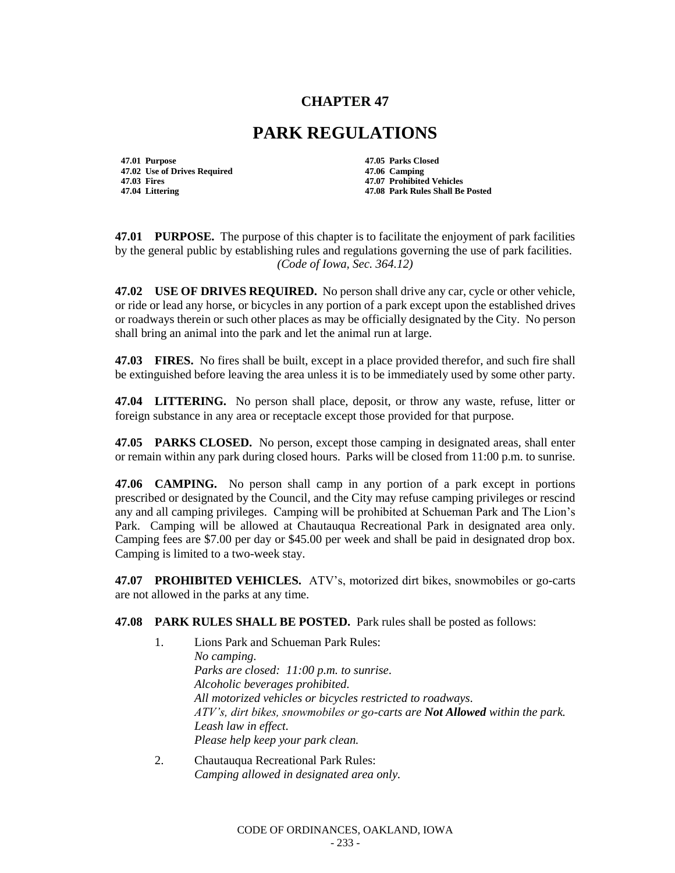## **CHAPTER 47**

## **PARK REGULATIONS**

**47.01 Purpose 47.05 Parks Closed 47.02 Use of Drives Required**<br>**47.03 Fires** 

**47.03 Fires 47.07 Prohibited Vehicles 47.04 Littering 47.08 Park Rules Shall Be Posted**

**47.01 PURPOSE.** The purpose of this chapter is to facilitate the enjoyment of park facilities by the general public by establishing rules and regulations governing the use of park facilities. *(Code of Iowa, Sec. 364.12)*

**47.02 USE OF DRIVES REQUIRED.** No person shall drive any car, cycle or other vehicle, or ride or lead any horse, or bicycles in any portion of a park except upon the established drives or roadways therein or such other places as may be officially designated by the City. No person shall bring an animal into the park and let the animal run at large.

**47.03 FIRES.** No fires shall be built, except in a place provided therefor, and such fire shall be extinguished before leaving the area unless it is to be immediately used by some other party.

**47.04 LITTERING.** No person shall place, deposit, or throw any waste, refuse, litter or foreign substance in any area or receptacle except those provided for that purpose.

**47.05 PARKS CLOSED.** No person, except those camping in designated areas, shall enter or remain within any park during closed hours. Parks will be closed from 11:00 p.m. to sunrise.

**47.06 CAMPING.** No person shall camp in any portion of a park except in portions prescribed or designated by the Council, and the City may refuse camping privileges or rescind any and all camping privileges. Camping will be prohibited at Schueman Park and The Lion's Park. Camping will be allowed at Chautauqua Recreational Park in designated area only. Camping fees are \$7.00 per day or \$45.00 per week and shall be paid in designated drop box. Camping is limited to a two-week stay.

**47.07 PROHIBITED VEHICLES.** ATV's, motorized dirt bikes, snowmobiles or go-carts are not allowed in the parks at any time.

**47.08 PARK RULES SHALL BE POSTED.** Park rules shall be posted as follows:

- 1. Lions Park and Schueman Park Rules: *No camping. Parks are closed: 11:00 p.m. to sunrise. Alcoholic beverages prohibited. All motorized vehicles or bicycles restricted to roadways. ATV's, dirt bikes, snowmobiles or go-carts are Not Allowed within the park. Leash law in effect. Please help keep your park clean.*
- 2. Chautauqua Recreational Park Rules: *Camping allowed in designated area only.*